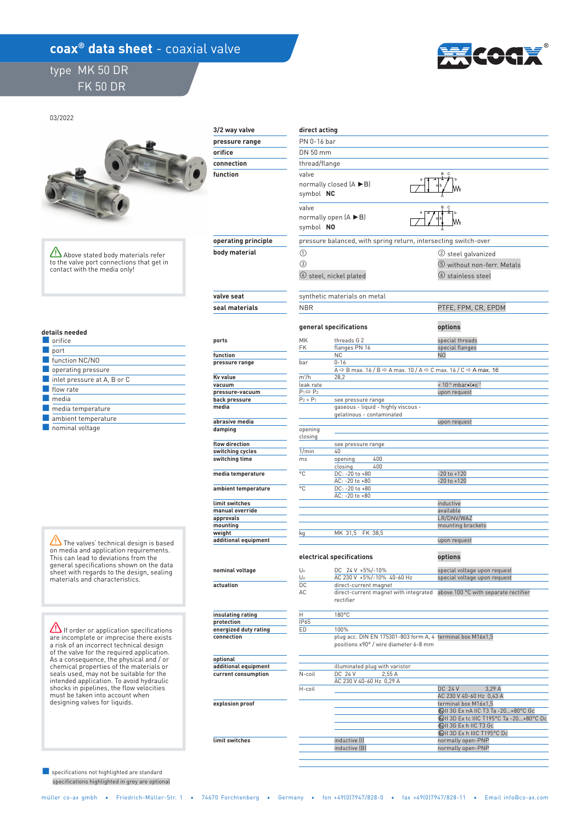## **coax<sup>®</sup> data sheet** - coaxial valve

## type MK 50 DR FK 50 DR



03/2022



Above stated body materials refer to the valve port connections that get in contact with the media only!

#### **details needed**

| orifice                     |
|-----------------------------|
| port                        |
| function NC/NO              |
| operating pressure          |
| inlet pressure at A, B or C |
| flow rate                   |
| media                       |
| media temperature           |
| ambient temperature         |
| .                           |

■ nominal voltage

The valves' technical design is based on media and application requirements. This can lead to deviations from the general specifications shown on the data sheet with regards to the design, sealing materials and characteristics.

 $\sum$  If order or application specifications are incomplete or imprecise there exists a risk of an incorrect technical design of the valve for the required application. As a consequence, the physical and / or chemical properties of the materials or seals used, may not be suitable for the intended application. To avoid hydraulic shocks in pipelines, the flow velocities must be taken into account when designing valves for liquids.

 specifications highlighted in grey are optional ■ specifications not highlighted are standard

# **3/2 way valve pressure range orifice**

 **function connection** 

## **operating principle body material**

 **valve seat seal materials ports** 

#### **function pressure range Kv value vacuum pressure-vacuum back pressure media**

 **abrasive media damping** 

 **flow direction switching cycles switching time** 

 **media temperature** 

 **ambient temperature** 

| limit switches       |  |
|----------------------|--|
| manual override      |  |
| approvals            |  |
| mounting             |  |
| weight               |  |
| additional equipment |  |

### **nominal voltage**

 **actuation** 

 **insulating rating protection energized duty rating connection** 

 **optional additional equipment current consumption** 

 **explosion proof** 

 **limit switches** 



inductive (I) and the control of the control of the control of the control of the control of the control of the control of the control of the control of the control of the control of the control of the control of the contr

normally open-PNP